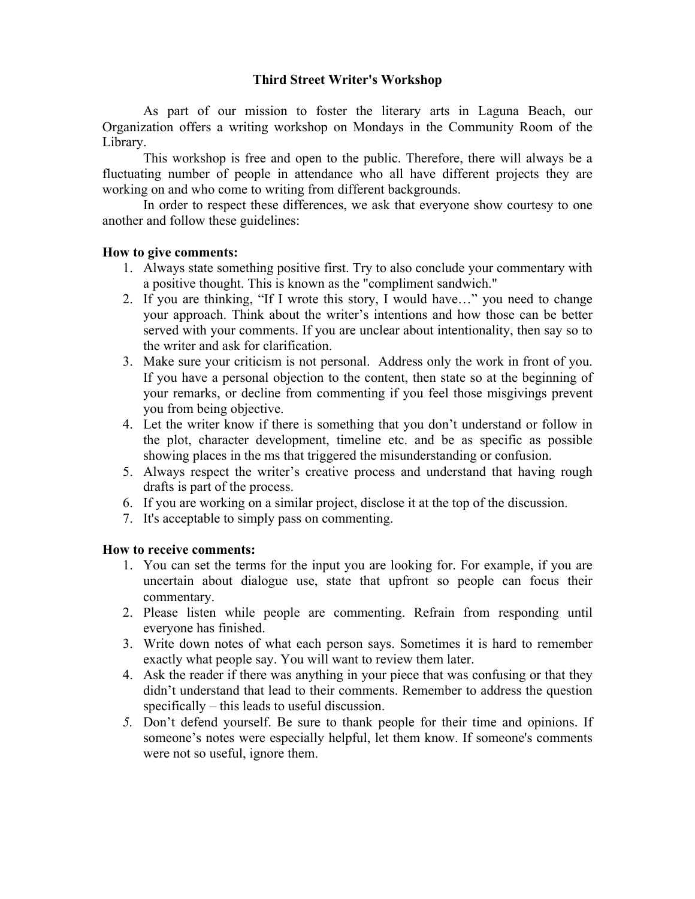## **Third Street Writer's Workshop**

As part of our mission to foster the literary arts in Laguna Beach, our Organization offers a writing workshop on Mondays in the Community Room of the Library.

This workshop is free and open to the public. Therefore, there will always be a fluctuating number of people in attendance who all have different projects they are working on and who come to writing from different backgrounds.

In order to respect these differences, we ask that everyone show courtesy to one another and follow these guidelines:

#### **How to give comments:**

- 1. Always state something positive first. Try to also conclude your commentary with a positive thought. This is known as the "compliment sandwich."
- 2. If you are thinking, "If I wrote this story, I would have…" you need to change your approach. Think about the writer's intentions and how those can be better served with your comments. If you are unclear about intentionality, then say so to the writer and ask for clarification.
- 3. Make sure your criticism is not personal. Address only the work in front of you. If you have a personal objection to the content, then state so at the beginning of your remarks, or decline from commenting if you feel those misgivings prevent you from being objective.
- 4. Let the writer know if there is something that you don't understand or follow in the plot, character development, timeline etc. and be as specific as possible showing places in the ms that triggered the misunderstanding or confusion.
- 5. Always respect the writer's creative process and understand that having rough drafts is part of the process.
- 6. If you are working on a similar project, disclose it at the top of the discussion.
- 7. It's acceptable to simply pass on commenting.

#### **How to receive comments:**

- 1. You can set the terms for the input you are looking for. For example, if you are uncertain about dialogue use, state that upfront so people can focus their commentary.
- 2. Please listen while people are commenting. Refrain from responding until everyone has finished.
- 3. Write down notes of what each person says. Sometimes it is hard to remember exactly what people say. You will want to review them later.
- 4. Ask the reader if there was anything in your piece that was confusing or that they didn't understand that lead to their comments. Remember to address the question specifically – this leads to useful discussion.
- *5.* Don't defend yourself. Be sure to thank people for their time and opinions. If someone's notes were especially helpful, let them know. If someone's comments were not so useful, ignore them.